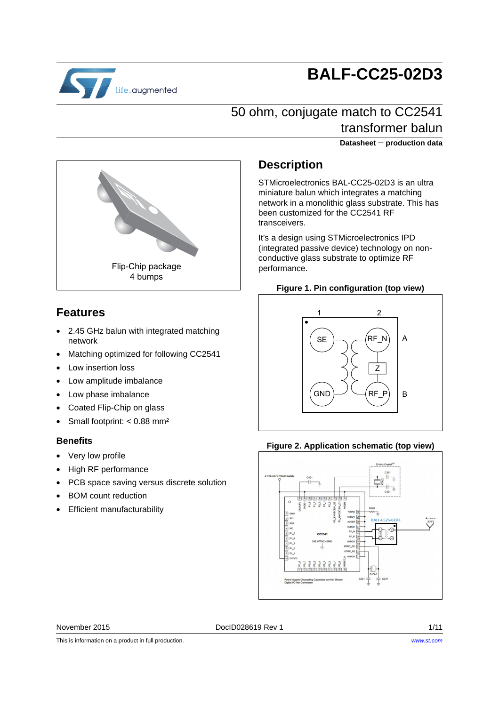

# **BALF-CC25-02D3**

### 50 ohm, conjugate match to CC2541 transformer balun

**Datasheet** − **production data**



### **Features**

- 2.45 GHz balun with integrated matching network
- Matching optimized for following CC2541
- Low insertion loss
- Low amplitude imbalance
- Low phase imbalance
- Coated Flip-Chip on glass
- Small footprint: < 0.88 mm<sup>2</sup>

### **Benefits**

- Very low profile
- High RF performance
- PCB space saving versus discrete solution
- BOM count reduction
- Efficient manufacturability

### **Description**

STMicroelectronics BAL-CC25-02D3 is an ultra miniature balun which integrates a matching network in a monolithic glass substrate. This has been customized for the CC2541 RF transceivers.

It's a design using STMicroelectronics IPD (integrated passive device) technology on nonconductive glass substrate to optimize RF performance.

#### **Figure 1. Pin configuration (top view)**



#### **Figure 2. Application schematic (top view)**



November 2015 **DociD028619 Rev 1** 1/11

This is information on a product in full production.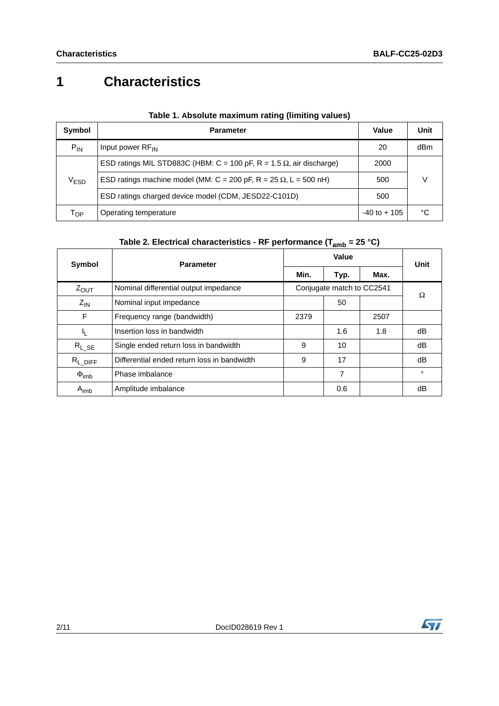## **1 Characteristics**

| Symbol    | <b>Parameter</b>                                                            | Value           | Unit |
|-----------|-----------------------------------------------------------------------------|-----------------|------|
| $P_{IN}$  | Input power RF <sub>IN</sub>                                                | 20              | dBm  |
|           | ESD ratings MIL STD883C (HBM: C = 100 pF, R = 1.5 $\Omega$ , air discharge) | 2000            |      |
| $V_{ESD}$ | ESD ratings machine model (MM: C = 200 pF, R = 25 $\Omega$ , L = 500 nH)    | 500             |      |
|           | ESD ratings charged device model (CDM, JESD22-C101D)                        | 500             |      |
| Тор       | Operating temperature                                                       | $-40$ to $+105$ | °C   |

| Table 1. Absolute maximum rating (limiting values) |  |  |  |  |
|----------------------------------------------------|--|--|--|--|
|----------------------------------------------------|--|--|--|--|

| Symbol              | <b>Parameter</b>                            |      | Value                     | Unit |         |  |
|---------------------|---------------------------------------------|------|---------------------------|------|---------|--|
|                     |                                             | Min. | Typ.                      | Max. |         |  |
| $Z_{OUT}$           | Nominal differential output impedance       |      | Conjugate match to CC2541 |      | Ω       |  |
| $Z_{IN}$            | Nominal input impedance                     |      | 50                        |      |         |  |
| F                   | Frequency range (bandwidth)                 | 2379 |                           | 2507 |         |  |
| 4                   | Insertion loss in bandwidth                 |      | 1.6                       | 1.8  | dB      |  |
| $R_{L\_SE}$         | Single ended return loss in bandwidth       | 9    | 10                        |      | dB      |  |
| $R_{L\_DIFF}$       | Differential ended return loss in bandwidth |      | 17                        |      | dB      |  |
| $\Phi_{\text{imb}}$ | Phase imbalance                             |      | 7                         |      | $\circ$ |  |
| $A_{\text{imb}}$    | Amplitude imbalance                         |      | 0.6                       |      | dB      |  |

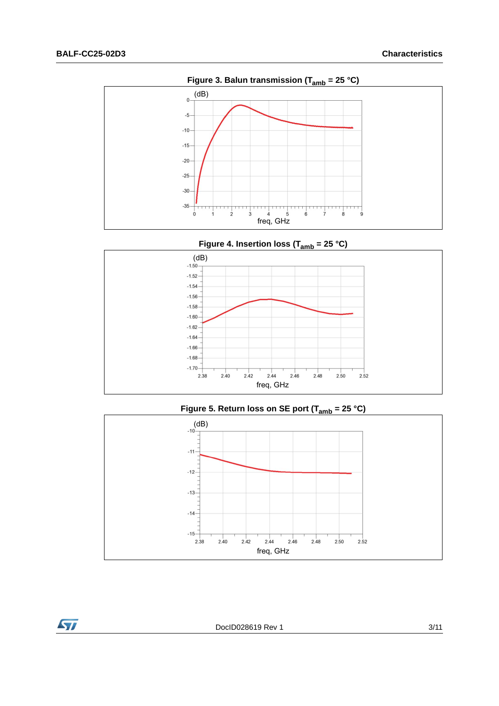**Syl** 



**Figure 4. Insertion loss (Tamb = 25 °C)**



Figure 5. Return loss on SE port (T<sub>amb</sub> = 25 °C)

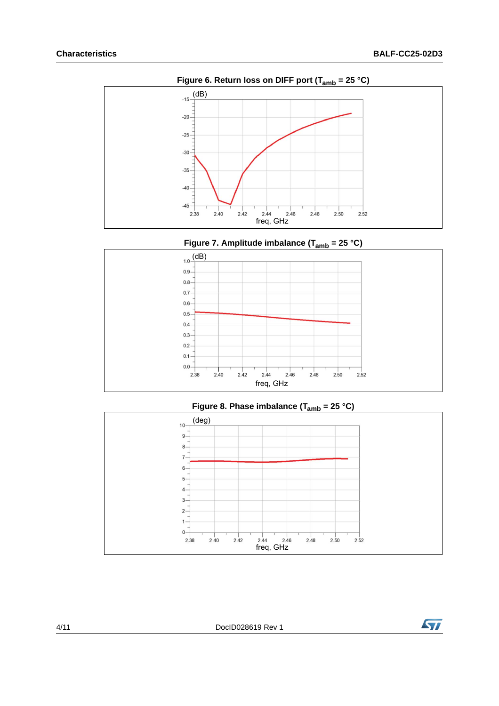

**Figure 7. Amplitude imbalance (Tamb = 25 °C)**





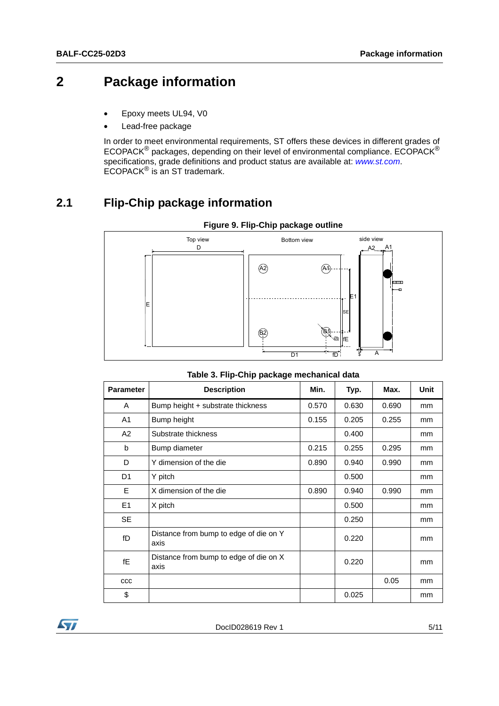## **2 Package information**

- Epoxy meets UL94, V0
- Lead-free package

In order to meet environmental requirements, ST offers these devices in different grades of ECOPACK® packages, depending on their level of environmental compliance. ECOPACK® specifications, grade definitions and product status are available at: *[www.st.com](http://www.st.com)*. ECOPACK® is an ST trademark.

### **2.1 Flip-Chip package information**



#### **Figure 9. Flip-Chip package outline**

|  |  |  | Table 3. Flip-Chip package mechanical data |
|--|--|--|--------------------------------------------|
|--|--|--|--------------------------------------------|

| <b>Parameter</b> | <b>Description</b>                             | Min.  | Typ.  | Max.  | Unit |
|------------------|------------------------------------------------|-------|-------|-------|------|
| A                | Bump height + substrate thickness              | 0.570 | 0.630 | 0.690 | mm   |
| A <sub>1</sub>   | Bump height                                    | 0.155 | 0.205 | 0.255 | mm   |
| A2               | Substrate thickness                            |       | 0.400 |       | mm   |
| b                | Bump diameter                                  | 0.215 | 0.255 | 0.295 | mm   |
| D                | Y dimension of the die                         | 0.890 | 0.940 | 0.990 | mm   |
| D1               | Y pitch                                        |       | 0.500 |       | mm   |
| E                | X dimension of the die                         | 0.890 | 0.940 | 0.990 | mm   |
| E1               | X pitch                                        |       | 0.500 |       | mm   |
| <b>SE</b>        |                                                |       | 0.250 |       | mm   |
| fD               | Distance from bump to edge of die on Y<br>axis |       | 0.220 |       | mm   |
| fE               | Distance from bump to edge of die on X<br>axis |       | 0.220 |       | mm   |
| CCC              |                                                |       |       | 0.05  | mm   |
| \$               |                                                |       | 0.025 |       | mm   |

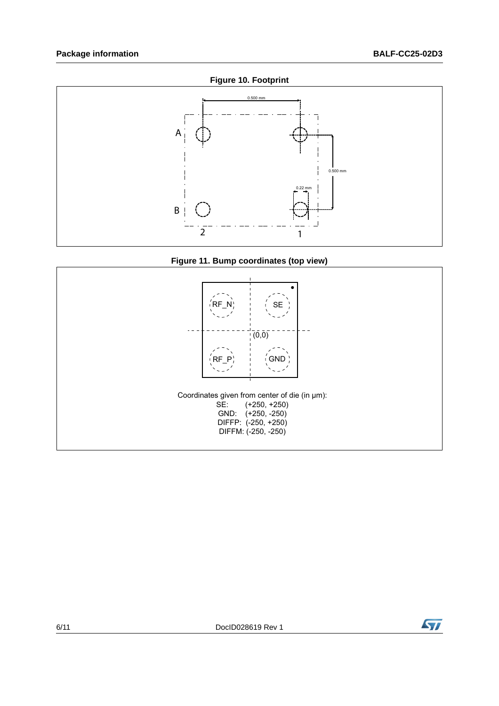







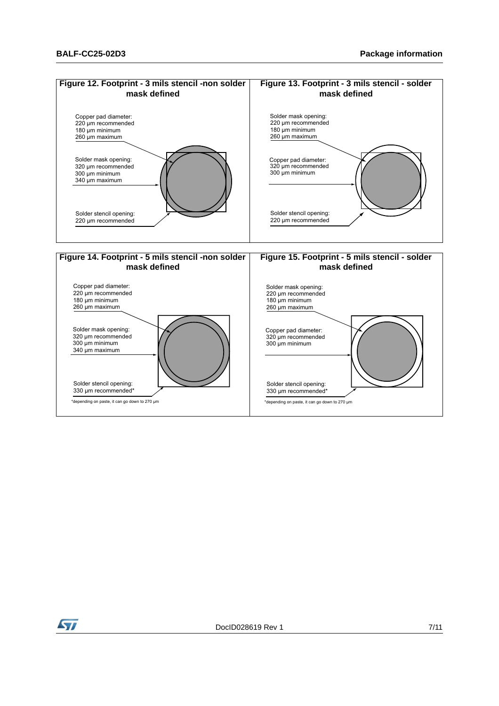

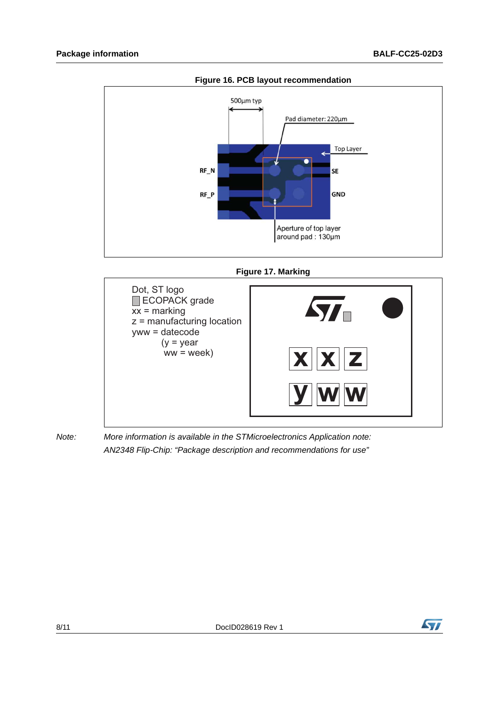

**Figure 16. PCB layout recommendation**

**Figure 17. Marking**



*Note: More information is available in the STMicroelectronics Application note: AN2348 Flip-Chip: "Package description and recommendations for use"*

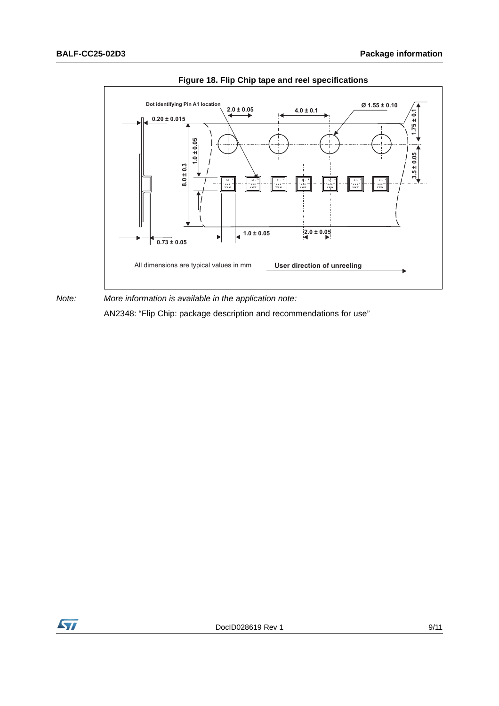

**Figure 18. Flip Chip tape and reel specifications**

*Note: More information is available in the application note:* AN2348: "Flip Chip: package description and recommendations for use"

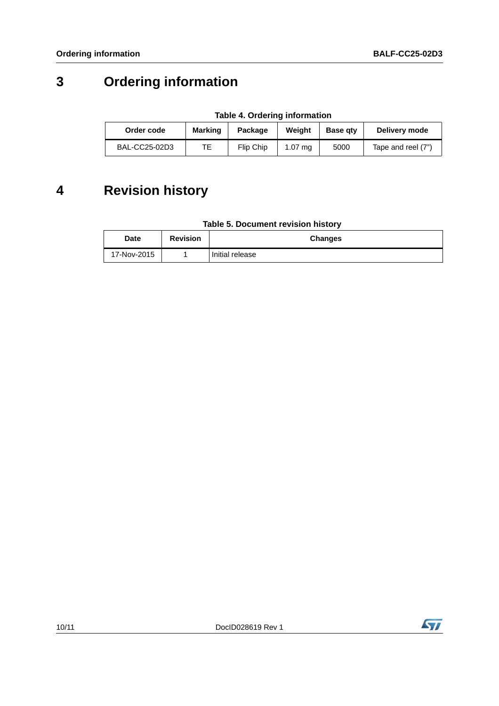## **3 Ordering information**

| Order code    | <b>Marking</b> | Package   | Weiaht            | <b>Base gtv</b> | Delivery mode      |
|---------------|----------------|-----------|-------------------|-----------------|--------------------|
| BAL-CC25-02D3 | TЕ             | Flip Chip | $1.07 \text{ ma}$ | 5000            | Tape and reel (7") |

## **4 Revision history**

| <b>Date</b> | <b>Revision</b> | <b>Changes</b>  |
|-------------|-----------------|-----------------|
| 17-Nov-2015 |                 | Initial release |